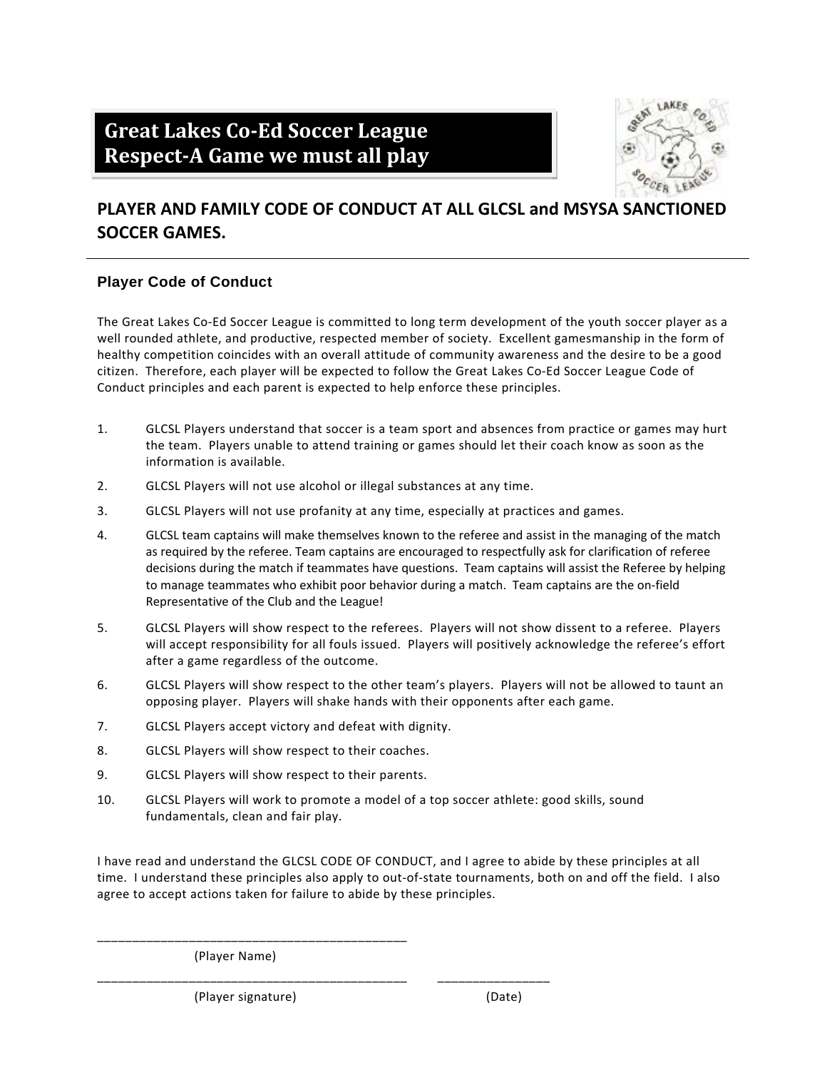# **Great Lakes Co‐Ed Soccer League Respect‐A Game we must all play**



### **PLAYER AND FAMILY CODE OF CONDUCT AT ALL GLCSL and MSYSA SANCTIONED SOCCER GAMES.**

#### **Player Code of Conduct**

The Great Lakes Co-Ed Soccer League is committed to long term development of the youth soccer player as a well rounded athlete, and productive, respected member of society. Excellent gamesmanship in the form of healthy competition coincides with an overall attitude of community awareness and the desire to be a good citizen. Therefore, each player will be expected to follow the Great Lakes Co‐Ed Soccer League Code of Conduct principles and each parent is expected to help enforce these principles.

- 1. GLCSL Players understand that soccer is a team sport and absences from practice or games may hurt the team. Players unable to attend training or games should let their coach know as soon as the information is available.
- 2. GLCSL Players will not use alcohol or illegal substances at any time.
- 3. GLCSL Players will not use profanity at any time, especially at practices and games.
- 4. GLCSL team captains will make themselves known to the referee and assist in the managing of the match as required by the referee. Team captains are encouraged to respectfully ask for clarification of referee decisions during the match if teammates have questions. Team captains will assist the Referee by helping to manage teammates who exhibit poor behavior during a match. Team captains are the on‐field Representative of the Club and the League!
- 5. GLCSL Players will show respect to the referees. Players will not show dissent to a referee. Players will accept responsibility for all fouls issued. Players will positively acknowledge the referee's effort after a game regardless of the outcome.
- 6. GLCSL Players will show respect to the other team's players. Players will not be allowed to taunt an opposing player. Players will shake hands with their opponents after each game.
- 7. GLCSL Players accept victory and defeat with dignity.
- 8. GLCSL Players will show respect to their coaches.
- 9. GLCSL Players will show respect to their parents.
- 10. GLCSL Players will work to promote a model of a top soccer athlete: good skills, sound fundamentals, clean and fair play.

\_\_\_\_\_\_\_\_\_\_\_\_\_\_\_\_\_\_\_\_\_\_\_\_\_\_\_\_\_\_\_\_\_\_\_\_\_\_\_\_\_\_\_\_ \_\_\_\_\_\_\_\_\_\_\_\_\_\_\_\_

I have read and understand the GLCSL CODE OF CONDUCT, and I agree to abide by these principles at all time. I understand these principles also apply to out‐of‐state tournaments, both on and off the field. I also agree to accept actions taken for failure to abide by these principles.

(Player Name)

(Player signature) (Date)

\_\_\_\_\_\_\_\_\_\_\_\_\_\_\_\_\_\_\_\_\_\_\_\_\_\_\_\_\_\_\_\_\_\_\_\_\_\_\_\_\_\_\_\_